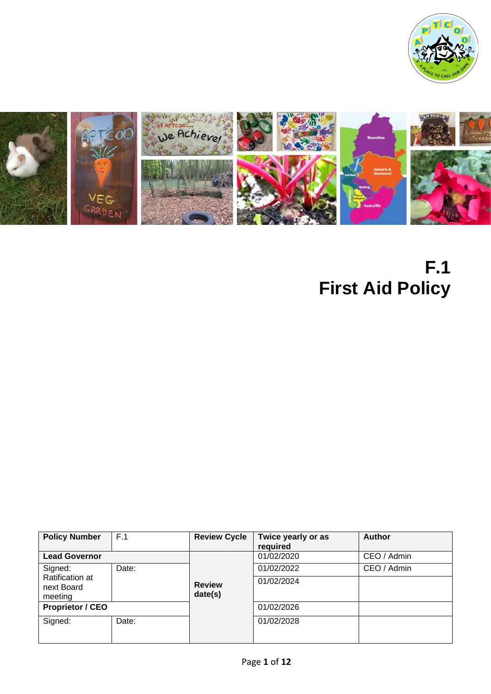



# **F.1 First Aid Policy**

| <b>Policy Number</b>                     | F.1   | <b>Review Cycle</b>      | Twice yearly or as | <b>Author</b> |
|------------------------------------------|-------|--------------------------|--------------------|---------------|
|                                          |       |                          | required           |               |
| <b>Lead Governor</b>                     |       |                          | 01/02/2020         | CEO / Admin   |
| Signed:                                  | Date: |                          | 01/02/2022         | CEO / Admin   |
| Ratification at<br>next Board<br>meeting |       | <b>Review</b><br>date(s) | 01/02/2024         |               |
| <b>Proprietor / CEO</b>                  |       |                          | 01/02/2026         |               |
| Signed:                                  | Date: |                          | 01/02/2028         |               |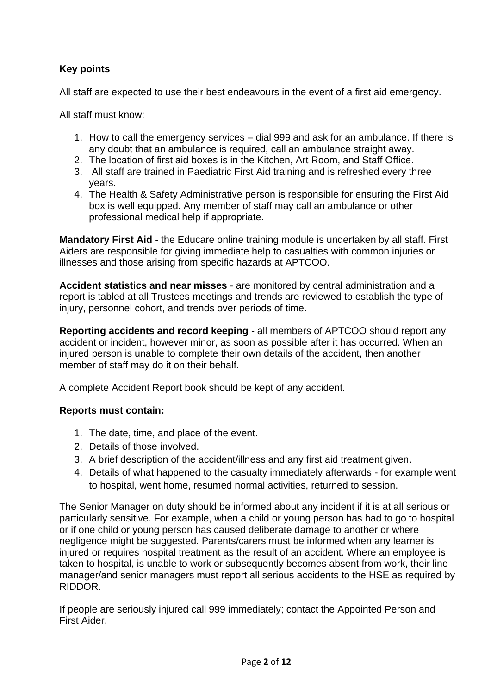# **Key points**

All staff are expected to use their best endeavours in the event of a first aid emergency.

All staff must know:

- 1. How to call the emergency services dial 999 and ask for an ambulance. If there is any doubt that an ambulance is required, call an ambulance straight away.
- 2. The location of first aid boxes is in the Kitchen, Art Room, and Staff Office.
- 3. All staff are trained in Paediatric First Aid training and is refreshed every three years.
- 4. The Health & Safety Administrative person is responsible for ensuring the First Aid box is well equipped. Any member of staff may call an ambulance or other professional medical help if appropriate.

**Mandatory First Aid** - the Educare online training module is undertaken by all staff. First Aiders are responsible for giving immediate help to casualties with common injuries or illnesses and those arising from specific hazards at APTCOO.

**Accident statistics and near misses** - are monitored by central administration and a report is tabled at all Trustees meetings and trends are reviewed to establish the type of injury, personnel cohort, and trends over periods of time.

**Reporting accidents and record keeping** - all members of APTCOO should report any accident or incident, however minor, as soon as possible after it has occurred. When an injured person is unable to complete their own details of the accident, then another member of staff may do it on their behalf.

A complete Accident Report book should be kept of any accident.

#### **Reports must contain:**

- 1. The date, time, and place of the event.
- 2. Details of those involved.
- 3. A brief description of the accident/illness and any first aid treatment given.
- 4. Details of what happened to the casualty immediately afterwards for example went to hospital, went home, resumed normal activities, returned to session.

The Senior Manager on duty should be informed about any incident if it is at all serious or particularly sensitive. For example, when a child or young person has had to go to hospital or if one child or young person has caused deliberate damage to another or where negligence might be suggested. Parents/carers must be informed when any learner is injured or requires hospital treatment as the result of an accident. Where an employee is taken to hospital, is unable to work or subsequently becomes absent from work, their line manager/and senior managers must report all serious accidents to the HSE as required by RIDDOR.

If people are seriously injured call 999 immediately; contact the Appointed Person and First Aider.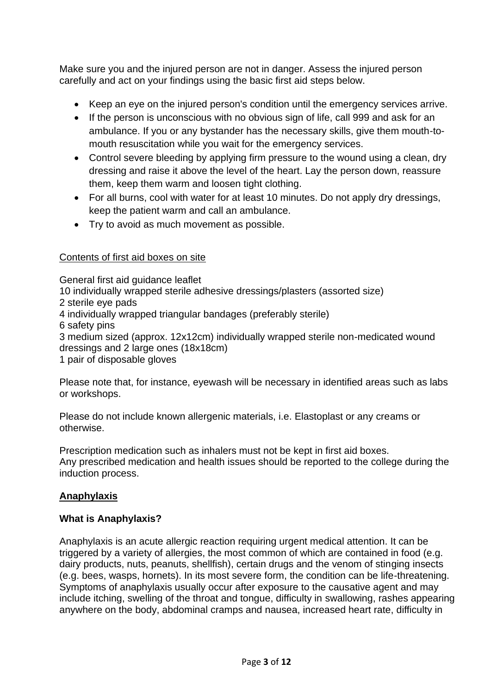Make sure you and the injured person are not in danger. Assess the injured person carefully and act on your findings using the basic first aid steps below.

- Keep an eye on the injured person's condition until the emergency services arrive.
- If the person is unconscious with no obvious sign of life, call 999 and ask for an ambulance. If you or any bystander has the necessary skills, give them mouth-tomouth resuscitation while you wait for the emergency services.
- Control severe bleeding by applying firm pressure to the wound using a clean, dry dressing and raise it above the level of the heart. Lay the person down, reassure them, keep them warm and loosen tight clothing.
- For all burns, cool with water for at least 10 minutes. Do not apply dry dressings, keep the patient warm and call an ambulance.
- Try to avoid as much movement as possible.

#### Contents of first aid boxes on site

General first aid guidance leaflet

10 individually wrapped sterile adhesive dressings/plasters (assorted size)

- 2 sterile eye pads
- 4 individually wrapped triangular bandages (preferably sterile)
- 6 safety pins

3 medium sized (approx. 12x12cm) individually wrapped sterile non-medicated wound dressings and 2 large ones (18x18cm)

1 pair of disposable gloves

Please note that, for instance, eyewash will be necessary in identified areas such as labs or workshops.

Please do not include known allergenic materials, i.e. Elastoplast or any creams or otherwise.

Prescription medication such as inhalers must not be kept in first aid boxes. Any prescribed medication and health issues should be reported to the college during the induction process.

# **Anaphylaxis**

#### **What is Anaphylaxis?**

Anaphylaxis is an acute allergic reaction requiring urgent medical attention. It can be triggered by a variety of allergies, the most common of which are contained in food (e.g. dairy products, nuts, peanuts, shellfish), certain drugs and the venom of stinging insects (e.g. bees, wasps, hornets). In its most severe form, the condition can be life-threatening. Symptoms of anaphylaxis usually occur after exposure to the causative agent and may include itching, swelling of the throat and tongue, difficulty in swallowing, rashes appearing anywhere on the body, abdominal cramps and nausea, increased heart rate, difficulty in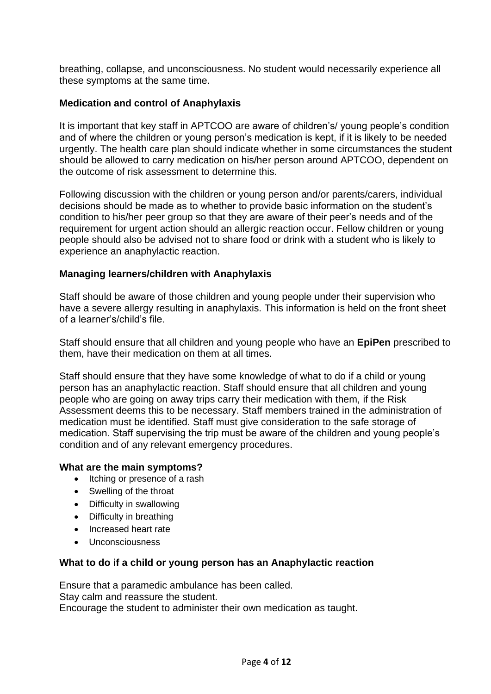breathing, collapse, and unconsciousness. No student would necessarily experience all these symptoms at the same time.

#### **Medication and control of Anaphylaxis**

It is important that key staff in APTCOO are aware of children's/ young people's condition and of where the children or young person's medication is kept, if it is likely to be needed urgently. The health care plan should indicate whether in some circumstances the student should be allowed to carry medication on his/her person around APTCOO, dependent on the outcome of risk assessment to determine this.

Following discussion with the children or young person and/or parents/carers, individual decisions should be made as to whether to provide basic information on the student's condition to his/her peer group so that they are aware of their peer's needs and of the requirement for urgent action should an allergic reaction occur. Fellow children or young people should also be advised not to share food or drink with a student who is likely to experience an anaphylactic reaction.

#### **Managing learners/children with Anaphylaxis**

Staff should be aware of those children and young people under their supervision who have a severe allergy resulting in anaphylaxis. This information is held on the front sheet of a learner's/child's file.

Staff should ensure that all children and young people who have an **EpiPen** prescribed to them, have their medication on them at all times.

Staff should ensure that they have some knowledge of what to do if a child or young person has an anaphylactic reaction. Staff should ensure that all children and young people who are going on away trips carry their medication with them, if the Risk Assessment deems this to be necessary. Staff members trained in the administration of medication must be identified. Staff must give consideration to the safe storage of medication. Staff supervising the trip must be aware of the children and young people's condition and of any relevant emergency procedures.

#### **What are the main symptoms?**

- Itching or presence of a rash
- Swelling of the throat
- Difficulty in swallowing
- Difficulty in breathing
- Increased heart rate
- Unconsciousness

#### **What to do if a child or young person has an Anaphylactic reaction**

Ensure that a paramedic ambulance has been called. Stay calm and reassure the student. Encourage the student to administer their own medication as taught.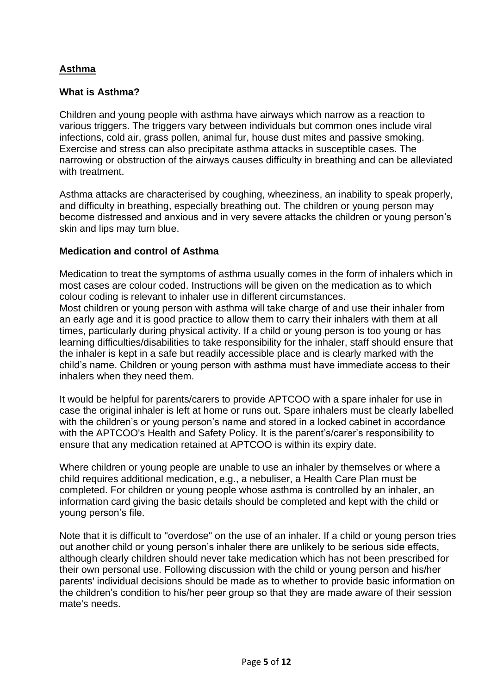#### **Asthma**

#### **What is Asthma?**

Children and young people with asthma have airways which narrow as a reaction to various triggers. The triggers vary between individuals but common ones include viral infections, cold air, grass pollen, animal fur, house dust mites and passive smoking. Exercise and stress can also precipitate asthma attacks in susceptible cases. The narrowing or obstruction of the airways causes difficulty in breathing and can be alleviated with treatment.

Asthma attacks are characterised by coughing, wheeziness, an inability to speak properly, and difficulty in breathing, especially breathing out. The children or young person may become distressed and anxious and in very severe attacks the children or young person's skin and lips may turn blue.

#### **Medication and control of Asthma**

Medication to treat the symptoms of asthma usually comes in the form of inhalers which in most cases are colour coded. Instructions will be given on the medication as to which colour coding is relevant to inhaler use in different circumstances.

Most children or young person with asthma will take charge of and use their inhaler from an early age and it is good practice to allow them to carry their inhalers with them at all times, particularly during physical activity. If a child or young person is too young or has learning difficulties/disabilities to take responsibility for the inhaler, staff should ensure that the inhaler is kept in a safe but readily accessible place and is clearly marked with the child's name. Children or young person with asthma must have immediate access to their inhalers when they need them.

It would be helpful for parents/carers to provide APTCOO with a spare inhaler for use in case the original inhaler is left at home or runs out. Spare inhalers must be clearly labelled with the children's or young person's name and stored in a locked cabinet in accordance with the APTCOO's Health and Safety Policy. It is the parent's/carer's responsibility to ensure that any medication retained at APTCOO is within its expiry date.

Where children or young people are unable to use an inhaler by themselves or where a child requires additional medication, e.g., a nebuliser, a Health Care Plan must be completed. For children or young people whose asthma is controlled by an inhaler, an information card giving the basic details should be completed and kept with the child or young person's file.

Note that it is difficult to "overdose" on the use of an inhaler. If a child or young person tries out another child or young person's inhaler there are unlikely to be serious side effects, although clearly children should never take medication which has not been prescribed for their own personal use. Following discussion with the child or young person and his/her parents' individual decisions should be made as to whether to provide basic information on the children's condition to his/her peer group so that they are made aware of their session mate's needs.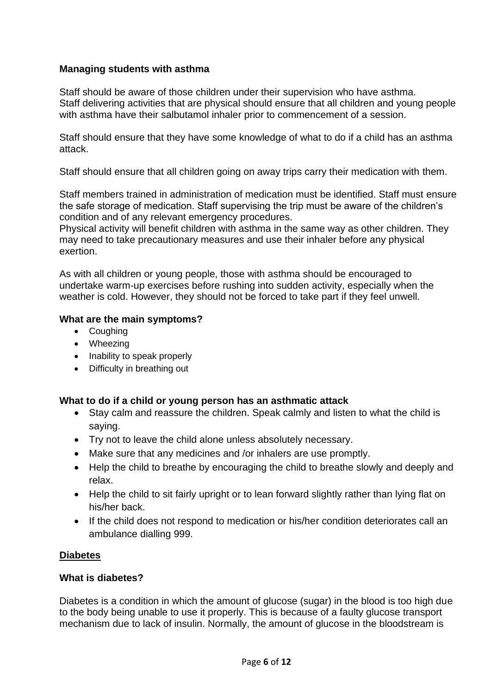#### **Managing students with asthma**

Staff should be aware of those children under their supervision who have asthma. Staff delivering activities that are physical should ensure that all children and young people with asthma have their salbutamol inhaler prior to commencement of a session.

Staff should ensure that they have some knowledge of what to do if a child has an asthma attack.

Staff should ensure that all children going on away trips carry their medication with them.

Staff members trained in administration of medication must be identified. Staff must ensure the safe storage of medication. Staff supervising the trip must be aware of the children's condition and of any relevant emergency procedures.

Physical activity will benefit children with asthma in the same way as other children. They may need to take precautionary measures and use their inhaler before any physical exertion.

As with all children or young people, those with asthma should be encouraged to undertake warm-up exercises before rushing into sudden activity, especially when the weather is cold. However, they should not be forced to take part if they feel unwell.

#### **What are the main symptoms?**

- Coughing
- Wheezing
- Inability to speak properly
- Difficulty in breathing out

#### **What to do if a child or young person has an asthmatic attack**

- Stay calm and reassure the children. Speak calmly and listen to what the child is saying.
- Try not to leave the child alone unless absolutely necessary.
- Make sure that any medicines and /or inhalers are use promptly.
- Help the child to breathe by encouraging the child to breathe slowly and deeply and relax.
- Help the child to sit fairly upright or to lean forward slightly rather than lying flat on his/her back.
- If the child does not respond to medication or his/her condition deteriorates call an ambulance dialling 999.

#### **Diabetes**

#### **What is diabetes?**

Diabetes is a condition in which the amount of glucose (sugar) in the blood is too high due to the body being unable to use it properly. This is because of a faulty glucose transport mechanism due to lack of insulin. Normally, the amount of glucose in the bloodstream is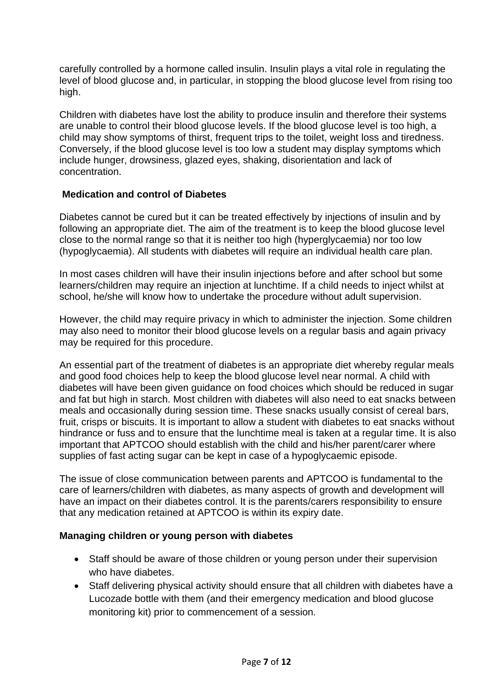carefully controlled by a hormone called insulin. Insulin plays a vital role in regulating the level of blood glucose and, in particular, in stopping the blood glucose level from rising too high.

Children with diabetes have lost the ability to produce insulin and therefore their systems are unable to control their blood glucose levels. If the blood glucose level is too high, a child may show symptoms of thirst, frequent trips to the toilet, weight loss and tiredness. Conversely, if the blood glucose level is too low a student may display symptoms which include hunger, drowsiness, glazed eyes, shaking, disorientation and lack of concentration.

#### **Medication and control of Diabetes**

Diabetes cannot be cured but it can be treated effectively by injections of insulin and by following an appropriate diet. The aim of the treatment is to keep the blood glucose level close to the normal range so that it is neither too high (hyperglycaemia) nor too low (hypoglycaemia). All students with diabetes will require an individual health care plan.

In most cases children will have their insulin injections before and after school but some learners/children may require an injection at lunchtime. If a child needs to inject whilst at school, he/she will know how to undertake the procedure without adult supervision.

However, the child may require privacy in which to administer the injection. Some children may also need to monitor their blood glucose levels on a regular basis and again privacy may be required for this procedure.

An essential part of the treatment of diabetes is an appropriate diet whereby regular meals and good food choices help to keep the blood glucose level near normal. A child with diabetes will have been given guidance on food choices which should be reduced in sugar and fat but high in starch. Most children with diabetes will also need to eat snacks between meals and occasionally during session time. These snacks usually consist of cereal bars, fruit, crisps or biscuits. It is important to allow a student with diabetes to eat snacks without hindrance or fuss and to ensure that the lunchtime meal is taken at a regular time. It is also important that APTCOO should establish with the child and his/her parent/carer where supplies of fast acting sugar can be kept in case of a hypoglycaemic episode.

The issue of close communication between parents and APTCOO is fundamental to the care of learners/children with diabetes, as many aspects of growth and development will have an impact on their diabetes control. It is the parents/carers responsibility to ensure that any medication retained at APTCOO is within its expiry date.

#### **Managing children or young person with diabetes**

- Staff should be aware of those children or young person under their supervision who have diabetes.
- Staff delivering physical activity should ensure that all children with diabetes have a Lucozade bottle with them (and their emergency medication and blood glucose monitoring kit) prior to commencement of a session*.*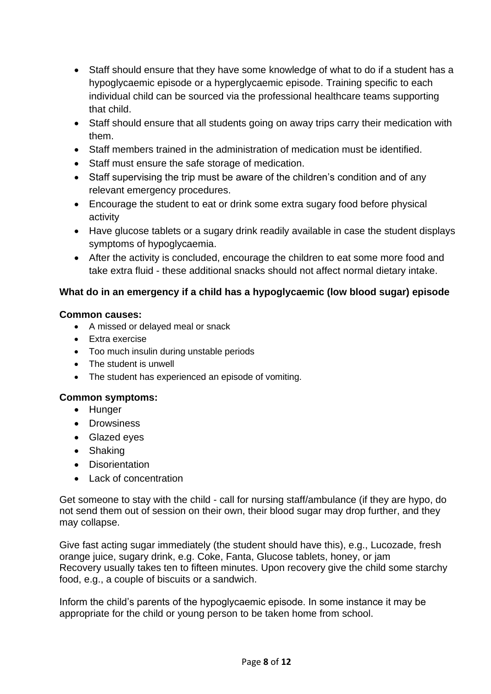- Staff should ensure that they have some knowledge of what to do if a student has a hypoglycaemic episode or a hyperglycaemic episode. Training specific to each individual child can be sourced via the professional healthcare teams supporting that child.
- Staff should ensure that all students going on away trips carry their medication with them.
- Staff members trained in the administration of medication must be identified.
- Staff must ensure the safe storage of medication.
- Staff supervising the trip must be aware of the children's condition and of any relevant emergency procedures.
- Encourage the student to eat or drink some extra sugary food before physical activity
- Have glucose tablets or a sugary drink readily available in case the student displays symptoms of hypoglycaemia.
- After the activity is concluded, encourage the children to eat some more food and take extra fluid - these additional snacks should not affect normal dietary intake.

# **What do in an emergency if a child has a hypoglycaemic (low blood sugar) episode**

#### **Common causes:**

- A missed or delayed meal or snack
- Extra exercise
- Too much insulin during unstable periods
- The student is unwell
- The student has experienced an episode of vomiting.

# **Common symptoms:**

- Hunger
- Drowsiness
- Glazed eyes
- Shaking
- Disorientation
- Lack of concentration

Get someone to stay with the child - call for nursing staff/ambulance (if they are hypo, do not send them out of session on their own, their blood sugar may drop further, and they may collapse.

Give fast acting sugar immediately (the student should have this), e.g., Lucozade, fresh orange juice, sugary drink, e.g. Coke, Fanta, Glucose tablets, honey, or jam Recovery usually takes ten to fifteen minutes. Upon recovery give the child some starchy food, e.g., a couple of biscuits or a sandwich.

Inform the child's parents of the hypoglycaemic episode. In some instance it may be appropriate for the child or young person to be taken home from school.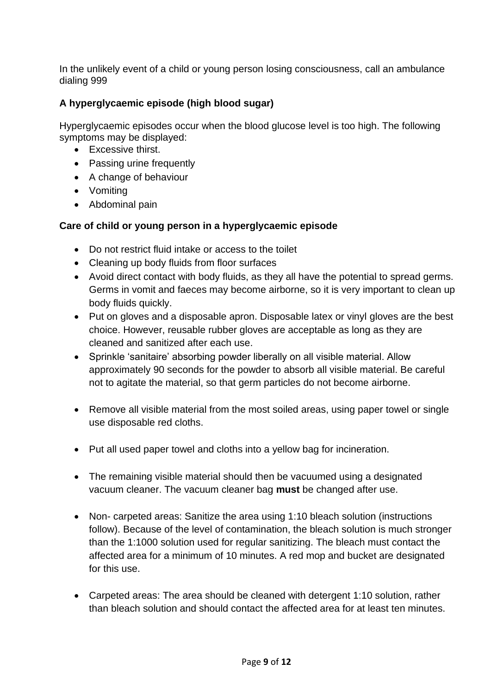In the unlikely event of a child or young person losing consciousness, call an ambulance dialing 999

# **A hyperglycaemic episode (high blood sugar)**

Hyperglycaemic episodes occur when the blood glucose level is too high. The following symptoms may be displayed:

- Excessive thirst.
- Passing urine frequently
- A change of behaviour
- Vomiting
- Abdominal pain

# **Care of child or young person in a hyperglycaemic episode**

- Do not restrict fluid intake or access to the toilet
- Cleaning up body fluids from floor surfaces
- Avoid direct contact with body fluids, as they all have the potential to spread germs. Germs in vomit and faeces may become airborne, so it is very important to clean up body fluids quickly.
- Put on gloves and a disposable apron. Disposable latex or vinyl gloves are the best choice. However, reusable rubber gloves are acceptable as long as they are cleaned and sanitized after each use.
- Sprinkle 'sanitaire' absorbing powder liberally on all visible material. Allow approximately 90 seconds for the powder to absorb all visible material. Be careful not to agitate the material, so that germ particles do not become airborne.
- Remove all visible material from the most soiled areas, using paper towel or single use disposable red cloths.
- Put all used paper towel and cloths into a yellow bag for incineration.
- The remaining visible material should then be vacuumed using a designated vacuum cleaner. The vacuum cleaner bag **must** be changed after use.
- Non- carpeted areas: Sanitize the area using 1:10 bleach solution (instructions follow). Because of the level of contamination, the bleach solution is much stronger than the 1:1000 solution used for regular sanitizing. The bleach must contact the affected area for a minimum of 10 minutes. A red mop and bucket are designated for this use.
- Carpeted areas: The area should be cleaned with detergent 1:10 solution, rather than bleach solution and should contact the affected area for at least ten minutes.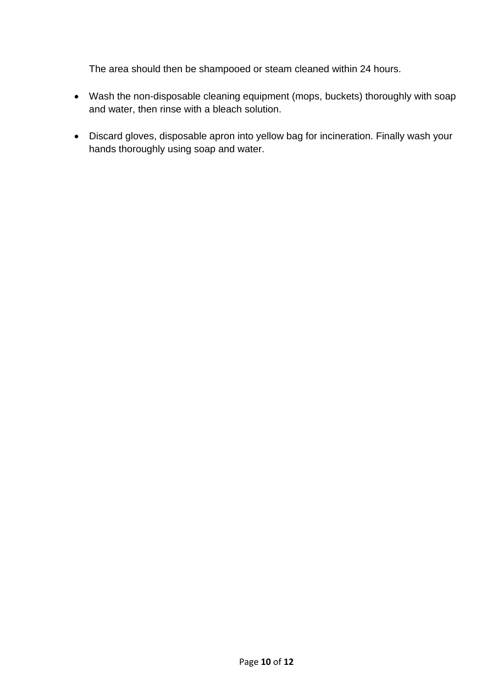The area should then be shampooed or steam cleaned within 24 hours.

- Wash the non-disposable cleaning equipment (mops, buckets) thoroughly with soap and water, then rinse with a bleach solution.
- Discard gloves, disposable apron into yellow bag for incineration. Finally wash your hands thoroughly using soap and water.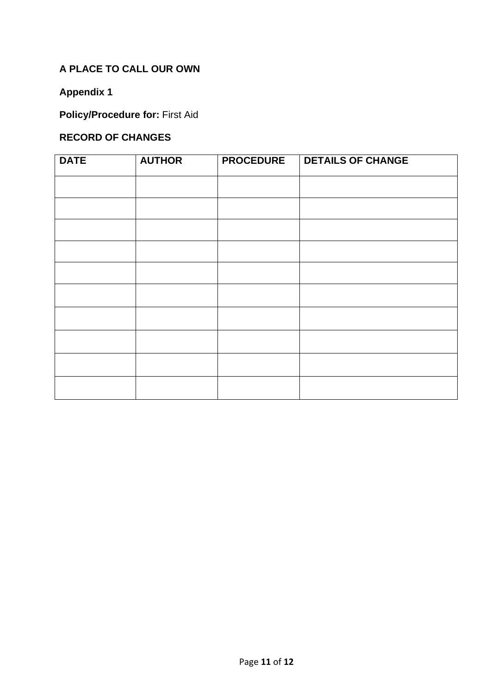# **A PLACE TO CALL OUR OWN**

# **Appendix 1**

# **Policy/Procedure for:** First Aid

# **RECORD OF CHANGES**

| <b>DATE</b> | <b>AUTHOR</b> | <b>PROCEDURE</b> | <b>DETAILS OF CHANGE</b> |
|-------------|---------------|------------------|--------------------------|
|             |               |                  |                          |
|             |               |                  |                          |
|             |               |                  |                          |
|             |               |                  |                          |
|             |               |                  |                          |
|             |               |                  |                          |
|             |               |                  |                          |
|             |               |                  |                          |
|             |               |                  |                          |
|             |               |                  |                          |